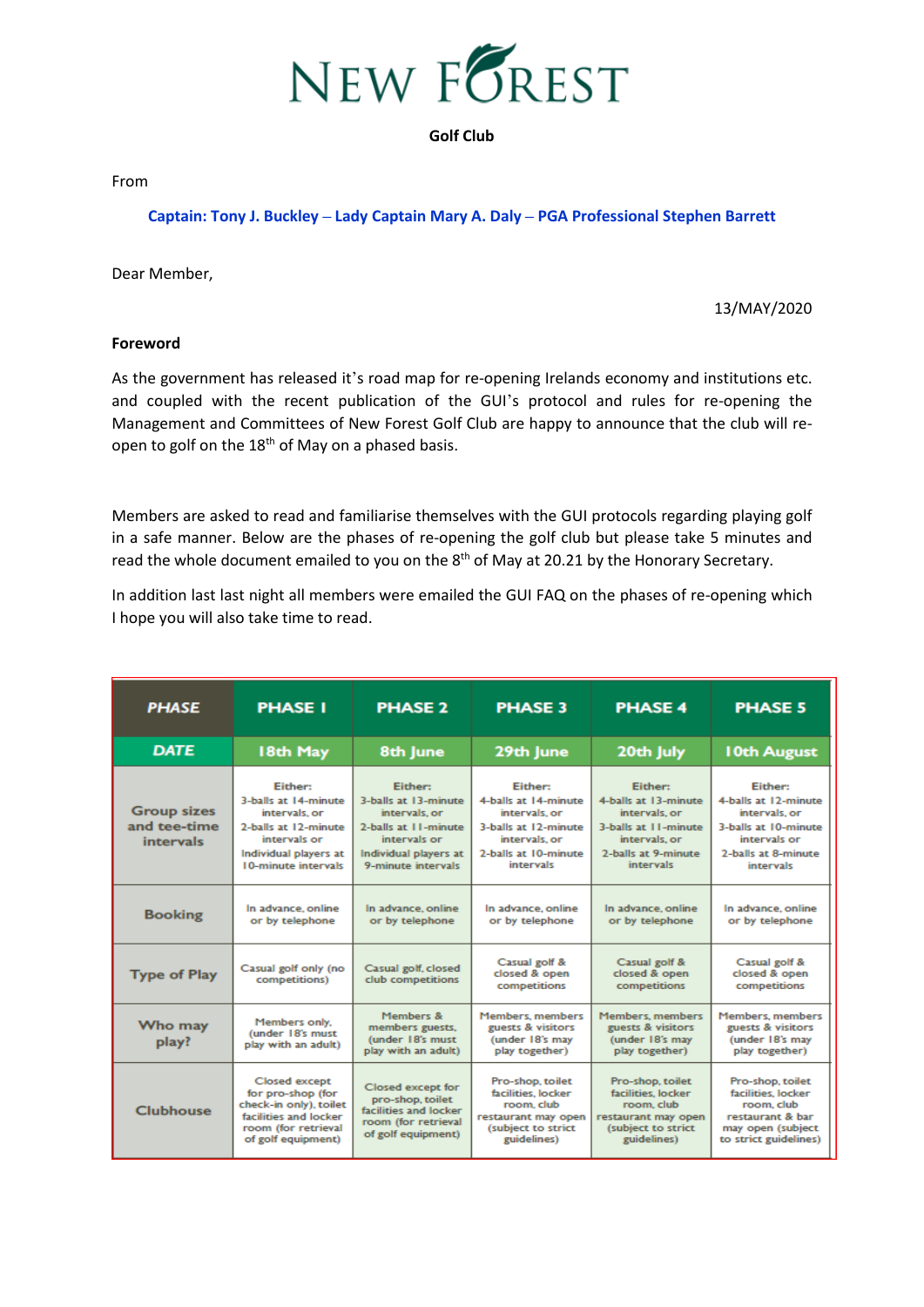

From

## **Captain: Tony J. Buckley – Lady Captain Mary A. Daly – PGA Professional Stephen Barrett**

Dear Member,

13/MAY/2020

#### **Foreword**

As the government has released it's road map for re-opening Irelands economy and institutions etc. and coupled with the recent publication of the GUI's protocol and rules for re-opening the Management and Committees of New Forest Golf Club are happy to announce that the club will reopen to golf on the 18<sup>th</sup> of May on a phased basis.

Members are asked to read and familiarise themselves with the GUI protocols regarding playing golf in a safe manner. Below are the phases of re-opening the golf club but please take 5 minutes and read the whole document emailed to you on the  $8<sup>th</sup>$  of May at 20.21 by the Honorary Secretary.

In addition last last night all members were emailed the GUI FAQ on the phases of re-opening which I hope you will also take time to read.

| <b>PHASE</b>                                           | <b>PHASE I</b>                                                                                                                            | <b>PHASE 2</b>                                                                                                                                 | <b>PHASE 3</b>                                                                                                                        | <b>PHASE 4</b>                                                                                                                       | <b>PHASE 5</b>                                                                                                                             |
|--------------------------------------------------------|-------------------------------------------------------------------------------------------------------------------------------------------|------------------------------------------------------------------------------------------------------------------------------------------------|---------------------------------------------------------------------------------------------------------------------------------------|--------------------------------------------------------------------------------------------------------------------------------------|--------------------------------------------------------------------------------------------------------------------------------------------|
| <b>DATE</b>                                            | 18th May                                                                                                                                  | 8th June                                                                                                                                       | 29th June                                                                                                                             | 20th July                                                                                                                            | 10th August                                                                                                                                |
| <b>Group sizes</b><br>and tee-time<br><i>intervals</i> | Either:<br>3-balls at 14-minute<br>intervals, or<br>2-balls at 12-minute<br>intervals or<br>Individual players at<br>10-minute intervals  | <b>Either:</b><br>3-balls at 13-minute<br>intervals, or<br>2-balls at 11-minute<br>intervals or<br>Individual players at<br>9-minute intervals | <b>Either:</b><br>4-balls at 14-minute<br>intervals, or<br>3-balls at 12-minute<br>intervals, or<br>2-balls at 10-minute<br>intervals | Either:<br>4-balls at 13-minute<br>intervals, or<br>3-balls at 11-minute<br>intervals, or<br>2-balls at 9-minute<br><b>intervals</b> | <b>Either:</b><br>4-balls at 12-minute<br>intervals, or<br>3-balls at 10-minute<br>intervals or<br>2-balls at 8-minute<br><b>intervals</b> |
| <b>Booking</b>                                         | In advance, online<br>or by telephone                                                                                                     | In advance, online<br>or by telephone                                                                                                          | In advance, online<br>or by telephone                                                                                                 | In advance, online<br>or by telephone                                                                                                | In advance, online<br>or by telephone                                                                                                      |
| <b>Type of Play</b>                                    | Casual golf only (no<br>competitions)                                                                                                     | Casual golf, closed<br>club competitions                                                                                                       | Casual golf &<br>closed & open<br>competitions                                                                                        | Casual golf &<br>closed & open<br>competitions                                                                                       | Casual golf &<br>closed & open<br>competitions                                                                                             |
| Who may<br>play?                                       | Members only.<br>(under 18's must<br>play with an adult)                                                                                  | Members &<br>members guests.<br>(under 18's must<br>play with an adult)                                                                        | <b>Members</b> , members<br>guests & visitors<br>(under 18's may<br>play together)                                                    | <b>Members</b> , members<br>guests & visitors<br>(under 18's may<br>play together)                                                   | <b>Members</b> , members<br>guests & visitors<br>(under 18's may<br>play together)                                                         |
| <b>Clubhouse</b>                                       | <b>Closed except</b><br>for pro-shop (for<br>check-in only), toilet<br>facilities and locker<br>room (for retrieval<br>of golf equipment) | Closed except for<br>pro-shop, toilet<br>facilities and locker<br>room (for retrieval<br>of golf equipment)                                    | Pro-shop, toilet<br>facilities, locker<br>room, club<br>restaurant may open<br>(subject to strict<br>guidelines)                      | Pro-shop, toilet<br>facilities, locker<br>room, club<br>restaurant may open<br>(subject to strict<br>guidelines)                     | Pro-shop, toilet<br>facilities, locker<br>room, club<br>restaurant & bar<br>may open (subject<br>to strict guidelines)                     |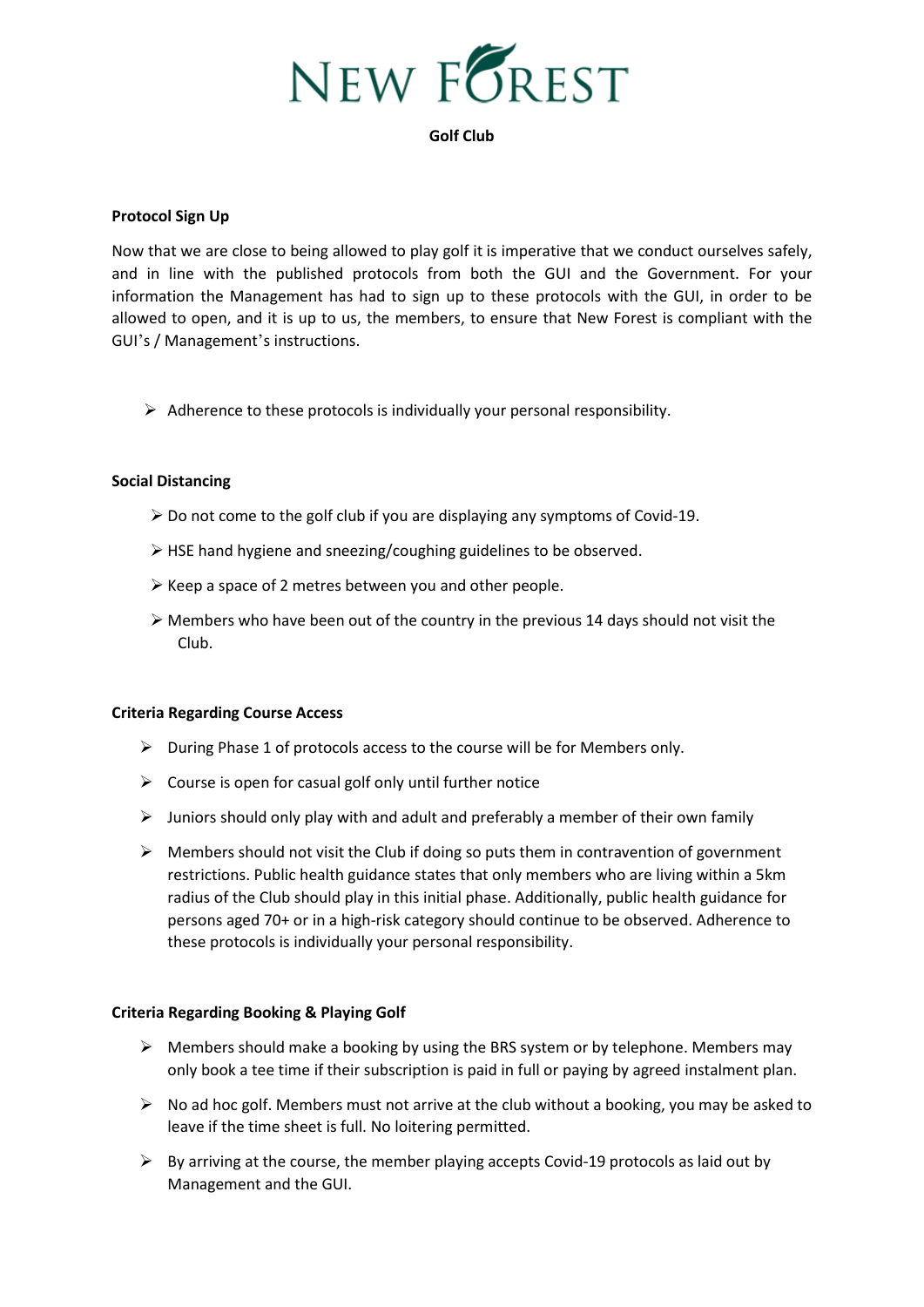

## **Protocol Sign Up**

Now that we are close to being allowed to play golf it is imperative that we conduct ourselves safely, and in line with the published protocols from both the GUI and the Government. For your information the Management has had to sign up to these protocols with the GUI, in order to be allowed to open, and it is up to us, the members, to ensure that New Forest is compliant with the GUI's / Management's instructions.

 $\triangleright$  Adherence to these protocols is individually your personal responsibility.

# **Social Distancing**

- ➢ Do not come to the golf club if you are displaying any symptoms of Covid-19.
- ➢ HSE hand hygiene and sneezing/coughing guidelines to be observed.
- ➢ Keep a space of 2 metres between you and other people.
- $\triangleright$  Members who have been out of the country in the previous 14 days should not visit the Club.

## **Criteria Regarding Course Access**

- ➢ During Phase 1 of protocols access to the course will be for Members only.
- $\triangleright$  Course is open for casual golf only until further notice
- $\triangleright$  Juniors should only play with and adult and preferably a member of their own family
- $\triangleright$  Members should not visit the Club if doing so puts them in contravention of government restrictions. Public health guidance states that only members who are living within a 5km radius of the Club should play in this initial phase. Additionally, public health guidance for persons aged 70+ or in a high-risk category should continue to be observed. Adherence to these protocols is individually your personal responsibility.

## **Criteria Regarding Booking & Playing Golf**

- $\triangleright$  Members should make a booking by using the BRS system or by telephone. Members may only book a tee time if their subscription is paid in full or paying by agreed instalment plan.
- $\triangleright$  No ad hoc golf. Members must not arrive at the club without a booking, you may be asked to leave if the time sheet is full. No loitering permitted.
- $\triangleright$  By arriving at the course, the member playing accepts Covid-19 protocols as laid out by Management and the GUI.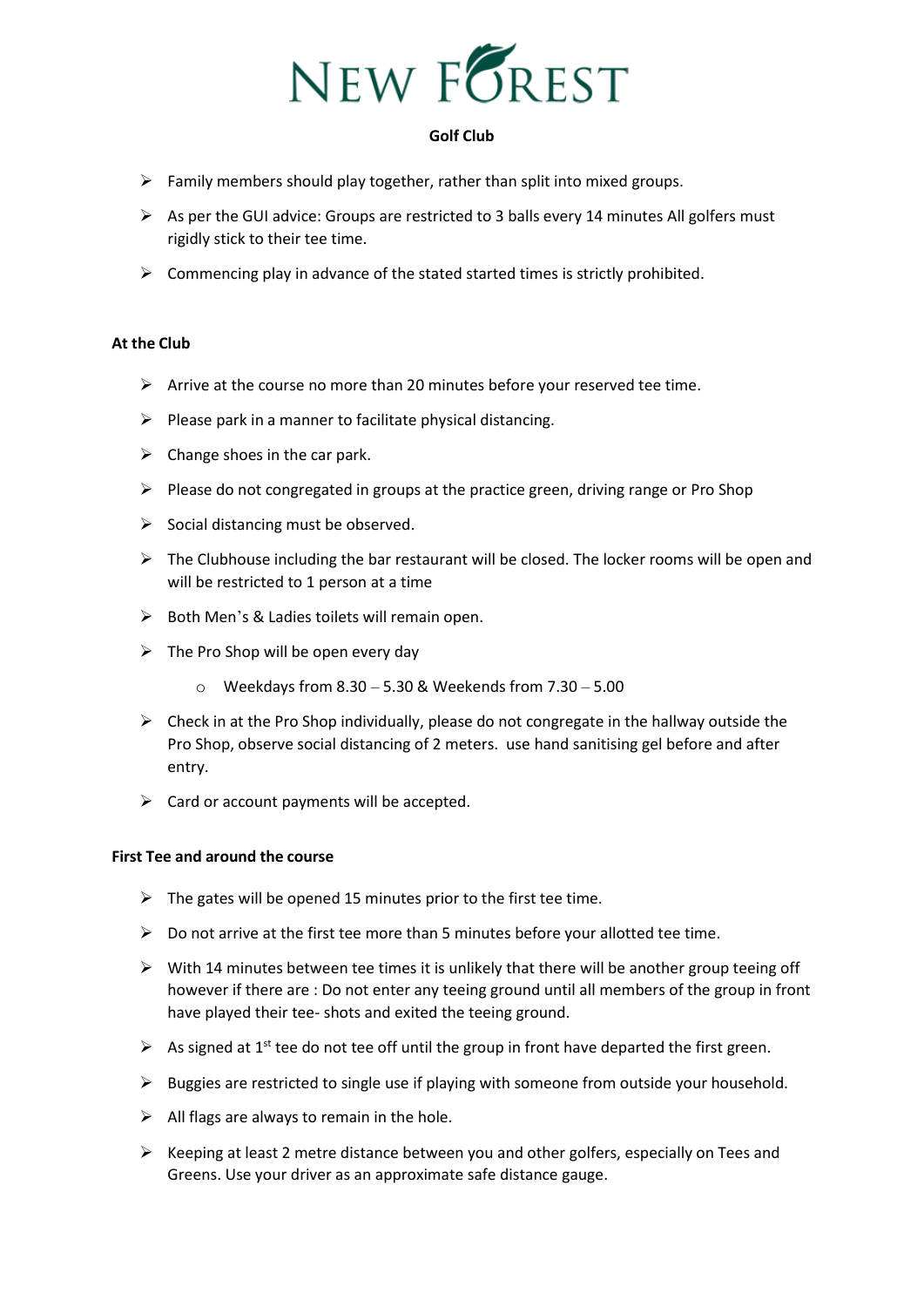

- $\triangleright$  Family members should play together, rather than split into mixed groups.
- $\triangleright$  As per the GUI advice: Groups are restricted to 3 balls every 14 minutes All golfers must rigidly stick to their tee time.
- $\triangleright$  Commencing play in advance of the stated started times is strictly prohibited.

## **At the Club**

- $\triangleright$  Arrive at the course no more than 20 minutes before your reserved tee time.
- $\triangleright$  Please park in a manner to facilitate physical distancing.
- $\triangleright$  Change shoes in the car park.
- $\triangleright$  Please do not congregated in groups at the practice green, driving range or Pro Shop
- $\triangleright$  Social distancing must be observed.
- $\triangleright$  The Clubhouse including the bar restaurant will be closed. The locker rooms will be open and will be restricted to 1 person at a time
- $\triangleright$  Both Men's & Ladies toilets will remain open.
- $\triangleright$  The Pro Shop will be open every day
	- $\circ$  Weekdays from 8.30 5.30 & Weekends from 7.30 5.00
- $\triangleright$  Check in at the Pro Shop individually, please do not congregate in the hallway outside the Pro Shop, observe social distancing of 2 meters. use hand sanitising gel before and after entry.
- $\triangleright$  Card or account payments will be accepted.

## **First Tee and around the course**

- $\triangleright$  The gates will be opened 15 minutes prior to the first tee time.
- $\triangleright$  Do not arrive at the first tee more than 5 minutes before your allotted tee time.
- $\triangleright$  With 14 minutes between tee times it is unlikely that there will be another group teeing off however if there are : Do not enter any teeing ground until all members of the group in front have played their tee- shots and exited the teeing ground.
- $\triangleright$  As signed at 1<sup>st</sup> tee do not tee off until the group in front have departed the first green.
- $\triangleright$  Buggies are restricted to single use if playing with someone from outside your household.
- $\triangleright$  All flags are always to remain in the hole.
- ➢ Keeping at least 2 metre distance between you and other golfers, especially on Tees and Greens. Use your driver as an approximate safe distance gauge.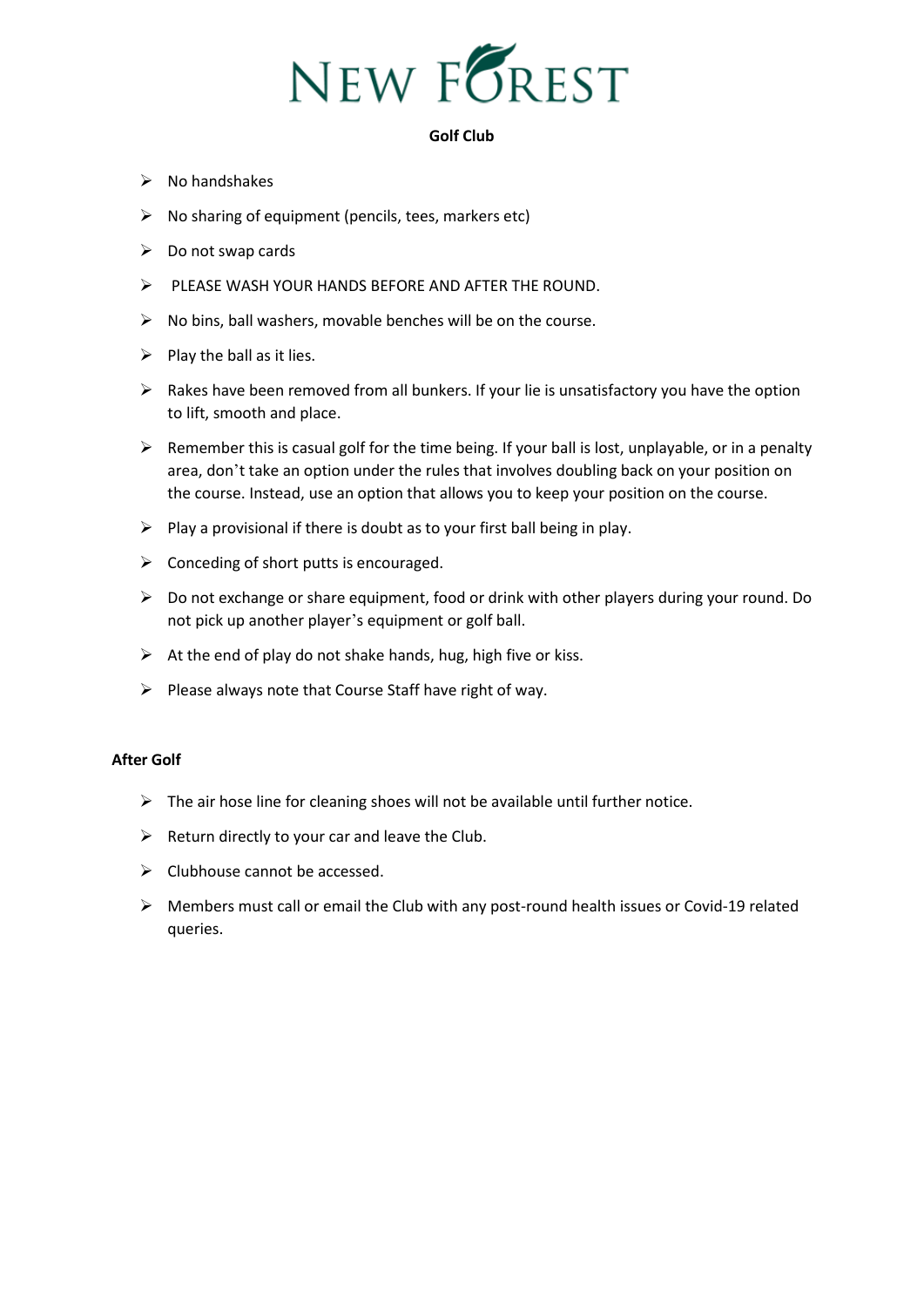

- $\triangleright$  No handshakes
- ➢ No sharing of equipment (pencils, tees, markers etc)
- $\triangleright$  Do not swap cards
- ➢ PLEASE WASH YOUR HANDS BEFORE AND AFTER THE ROUND.
- $\triangleright$  No bins, ball washers, movable benches will be on the course.
- $\triangleright$  Play the ball as it lies.
- $\triangleright$  Rakes have been removed from all bunkers. If your lie is unsatisfactory you have the option to lift, smooth and place.
- $\triangleright$  Remember this is casual golf for the time being. If your ball is lost, unplayable, or in a penalty area, don't take an option under the rules that involves doubling back on your position on the course. Instead, use an option that allows you to keep your position on the course.
- $\triangleright$  Play a provisional if there is doubt as to your first ball being in play.
- $\triangleright$  Conceding of short putts is encouraged.
- ➢ Do not exchange or share equipment, food or drink with other players during your round. Do not pick up another player's equipment or golf ball.
- $\triangleright$  At the end of play do not shake hands, hug, high five or kiss.
- ➢ Please always note that Course Staff have right of way.

## **After Golf**

- $\triangleright$  The air hose line for cleaning shoes will not be available until further notice.
- $\triangleright$  Return directly to your car and leave the Club.
- $\triangleright$  Clubhouse cannot be accessed.
- ➢ Members must call or email the Club with any post-round health issues or Covid-19 related queries.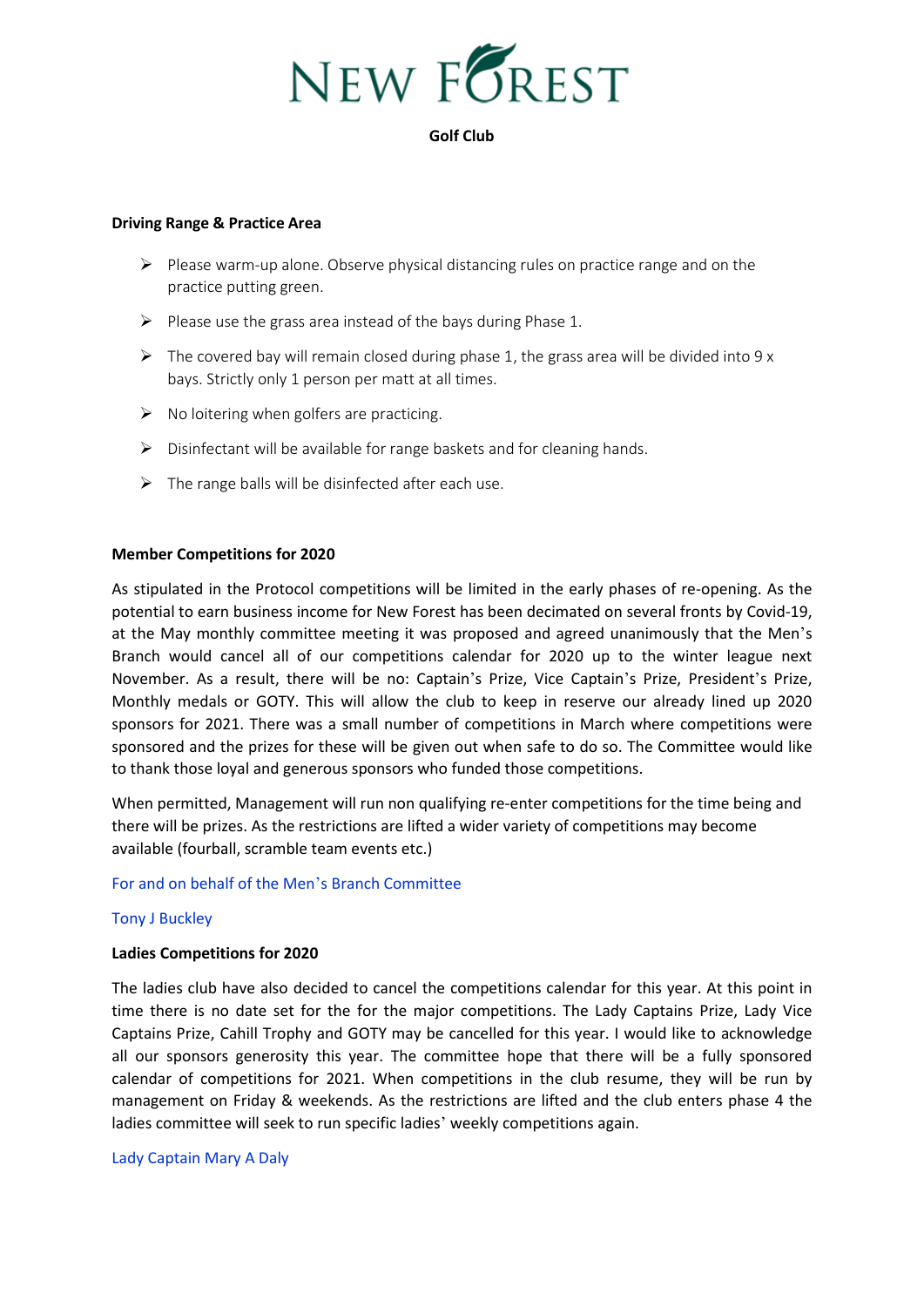

## **Driving Range & Practice Area**

- $\triangleright$  Please warm-up alone. Observe physical distancing rules on practice range and on the practice putting green.
- $\triangleright$  Please use the grass area instead of the bays during Phase 1.
- $\triangleright$  The covered bay will remain closed during phase 1, the grass area will be divided into 9 x bays. Strictly only 1 person per matt at all times.
- $\triangleright$  No loitering when golfers are practicing.
- ➢ Disinfectant will be available for range baskets and for cleaning hands.
- $\triangleright$  The range balls will be disinfected after each use.

## **Member Competitions for 2020**

As stipulated in the Protocol competitions will be limited in the early phases of re-opening. As the potential to earn business income for New Forest has been decimated on several fronts by Covid-19, at the May monthly committee meeting it was proposed and agreed unanimously that the Men's Branch would cancel all of our competitions calendar for 2020 up to the winter league next November. As a result, there will be no: Captain's Prize, Vice Captain's Prize, President's Prize, Monthly medals or GOTY. This will allow the club to keep in reserve our already lined up 2020 sponsors for 2021. There was a small number of competitions in March where competitions were sponsored and the prizes for these will be given out when safe to do so. The Committee would like to thank those loyal and generous sponsors who funded those competitions.

When permitted, Management will run non qualifying re-enter competitions for the time being and there will be prizes. As the restrictions are lifted a wider variety of competitions may become available (fourball, scramble team events etc.)

## For and on behalf of the Men's Branch Committee

## Tony J Buckley

## **Ladies Competitions for 2020**

The ladies club have also decided to cancel the competitions calendar for this year. At this point in time there is no date set for the for the major competitions. The Lady Captains Prize, Lady Vice Captains Prize, Cahill Trophy and GOTY may be cancelled for this year. I would like to acknowledge all our sponsors generosity this year. The committee hope that there will be a fully sponsored calendar of competitions for 2021. When competitions in the club resume, they will be run by management on Friday & weekends. As the restrictions are lifted and the club enters phase 4 the ladies committee will seek to run specific ladies' weekly competitions again.

## Lady Captain Mary A Daly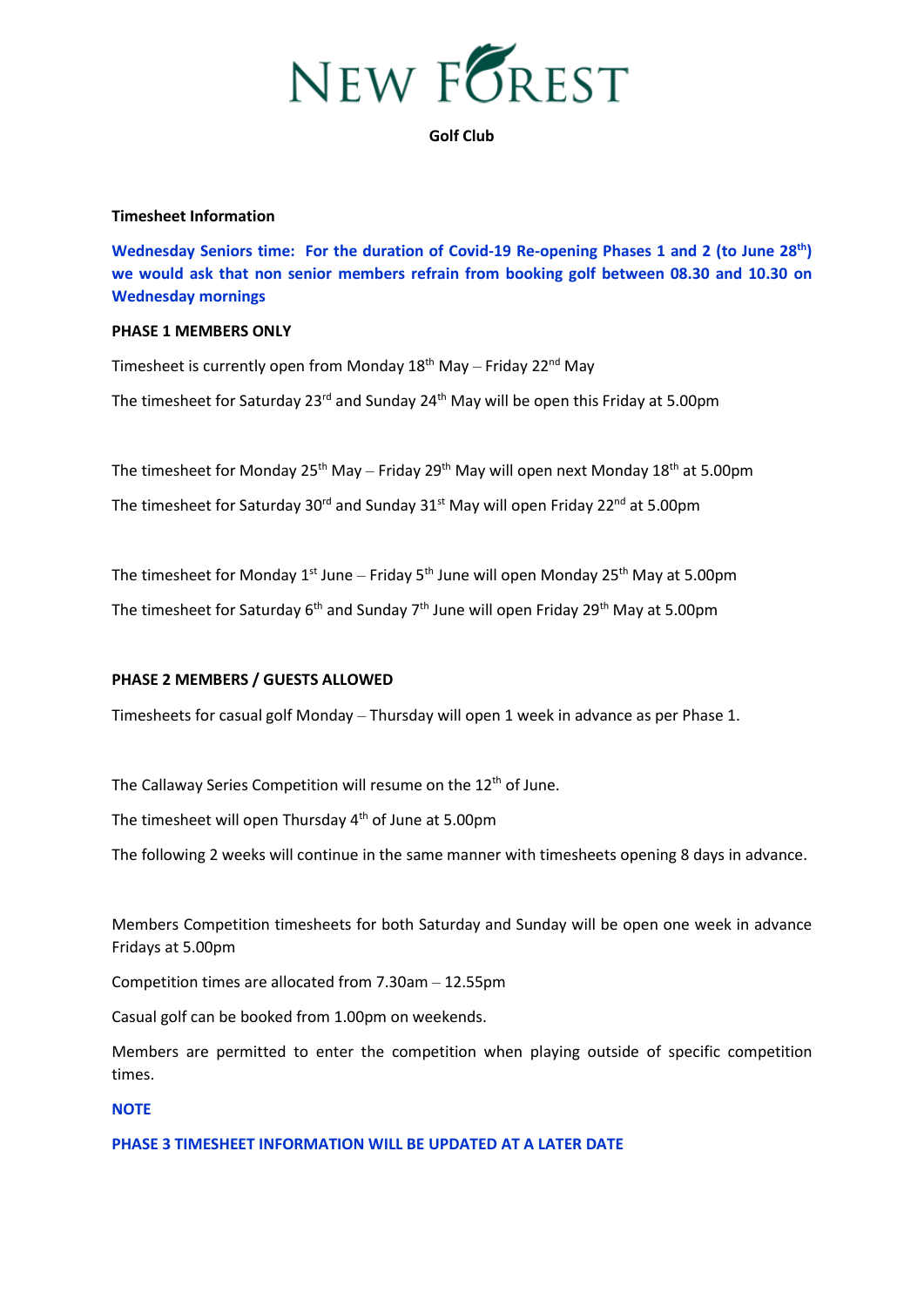

#### **Timesheet Information**

**Wednesday Seniors time: For the duration of Covid-19 Re-opening Phases 1 and 2 (to June 28th) we would ask that non senior members refrain from booking golf between 08.30 and 10.30 on Wednesday mornings**

#### **PHASE 1 MEMBERS ONLY**

Timesheet is currently open from Monday  $18<sup>th</sup>$  May – Friday  $22<sup>nd</sup>$  May The timesheet for Saturday 23 $rd$  and Sunday 24<sup>th</sup> May will be open this Friday at 5.00pm

The timesheet for Monday 25<sup>th</sup> May – Friday 29<sup>th</sup> May will open next Monday 18<sup>th</sup> at 5.00pm

The timesheet for Saturday  $30<sup>rd</sup>$  and Sunday  $31<sup>st</sup>$  May will open Friday 22<sup>nd</sup> at 5.00pm

The timesheet for Monday 1<sup>st</sup> June – Friday 5<sup>th</sup> June will open Monday 25<sup>th</sup> May at 5.00pm

The timesheet for Saturday 6<sup>th</sup> and Sunday 7<sup>th</sup> June will open Friday 29<sup>th</sup> May at 5.00pm

## **PHASE 2 MEMBERS / GUESTS ALLOWED**

Timesheets for casual golf Monday – Thursday will open 1 week in advance as per Phase 1.

The Callaway Series Competition will resume on the 12<sup>th</sup> of June.

The timesheet will open Thursday 4th of June at 5.00pm

The following 2 weeks will continue in the same manner with timesheets opening 8 days in advance.

Members Competition timesheets for both Saturday and Sunday will be open one week in advance Fridays at 5.00pm

Competition times are allocated from 7.30am – 12.55pm

Casual golf can be booked from 1.00pm on weekends.

Members are permitted to enter the competition when playing outside of specific competition times.

## **NOTE**

# **PHASE 3 TIMESHEET INFORMATION WILL BE UPDATED AT A LATER DATE**